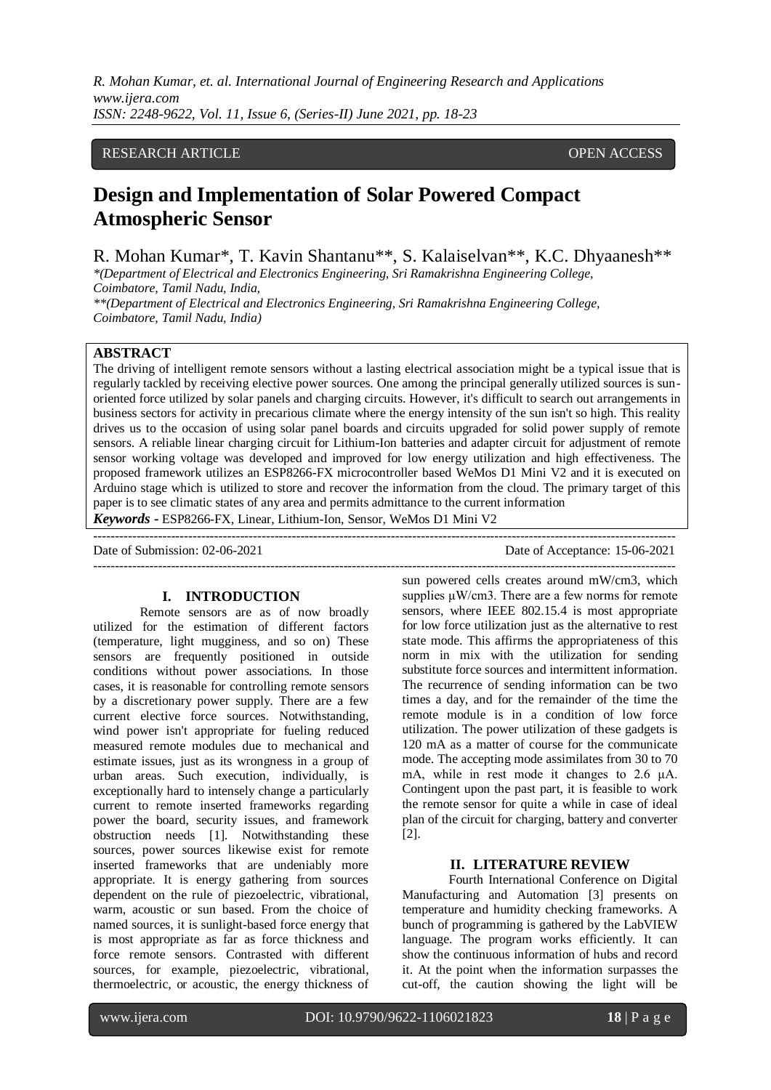# RESEARCH ARTICLE **CONSERVERS** OPEN ACCESS

# **Design and Implementation of Solar Powered Compact Atmospheric Sensor**

R. Mohan Kumar\*, T. Kavin Shantanu\*\*, S. Kalaiselvan\*\*, K.C. Dhyaanesh\*\*

*\*(Department of Electrical and Electronics Engineering, Sri Ramakrishna Engineering College, Coimbatore, Tamil Nadu, India,*

*\*\*(Department of Electrical and Electronics Engineering, Sri Ramakrishna Engineering College, Coimbatore, Tamil Nadu, India)*

# **ABSTRACT**

The driving of intelligent remote sensors without a lasting electrical association might be a typical issue that is regularly tackled by receiving elective power sources. One among the principal generally utilized sources is sunoriented force utilized by solar panels and charging circuits. However, it's difficult to search out arrangements in business sectors for activity in precarious climate where the energy intensity of the sun isn't so high. This reality drives us to the occasion of using solar panel boards and circuits upgraded for solid power supply of remote sensors. A reliable linear charging circuit for Lithium-Ion batteries and adapter circuit for adjustment of remote sensor working voltage was developed and improved for low energy utilization and high effectiveness. The proposed framework utilizes an ESP8266-FX microcontroller based WeMos D1 Mini V2 and it is executed on Arduino stage which is utilized to store and recover the information from the cloud. The primary target of this paper is to see climatic states of any area and permits admittance to the current information *Keywords* **-** ESP8266-FX, Linear, Lithium-Ion, Sensor, WeMos D1 Mini V2

---------------------------------------------------------------------------------------------------------------------------------------

Date of Submission: 02-06-2021 Date of Acceptance: 15-06-2021

---------------------------------------------------------------------------------------------------------------------------------------

# **I. INTRODUCTION**

Remote sensors are as of now broadly utilized for the estimation of different factors (temperature, light mugginess, and so on) These sensors are frequently positioned in outside conditions without power associations. In those cases, it is reasonable for controlling remote sensors by a discretionary power supply. There are a few current elective force sources. Notwithstanding, wind power isn't appropriate for fueling reduced measured remote modules due to mechanical and estimate issues, just as its wrongness in a group of urban areas. Such execution, individually, is exceptionally hard to intensely change a particularly current to remote inserted frameworks regarding power the board, security issues, and framework obstruction needs [1]. Notwithstanding these sources, power sources likewise exist for remote inserted frameworks that are undeniably more appropriate. It is energy gathering from sources dependent on the rule of piezoelectric, vibrational, warm, acoustic or sun based. From the choice of named sources, it is sunlight-based force energy that is most appropriate as far as force thickness and force remote sensors. Contrasted with different sources, for example, piezoelectric, vibrational, thermoelectric, or acoustic, the energy thickness of

sun powered cells creates around mW/cm3, which supplies μW/cm3. There are a few norms for remote sensors, where IEEE 802.15.4 is most appropriate for low force utilization just as the alternative to rest state mode. This affirms the appropriateness of this norm in mix with the utilization for sending substitute force sources and intermittent information. The recurrence of sending information can be two times a day, and for the remainder of the time the remote module is in a condition of low force utilization. The power utilization of these gadgets is 120 mA as a matter of course for the communicate mode. The accepting mode assimilates from 30 to 70 mA, while in rest mode it changes to 2.6 μA. Contingent upon the past part, it is feasible to work the remote sensor for quite a while in case of ideal plan of the circuit for charging, battery and converter [2].

# **II. LITERATURE REVIEW**

Fourth International Conference on Digital Manufacturing and Automation [3] presents on temperature and humidity checking frameworks. A bunch of programming is gathered by the LabVIEW language. The program works efficiently. It can show the continuous information of hubs and record it. At the point when the information surpasses the cut-off, the caution showing the light will be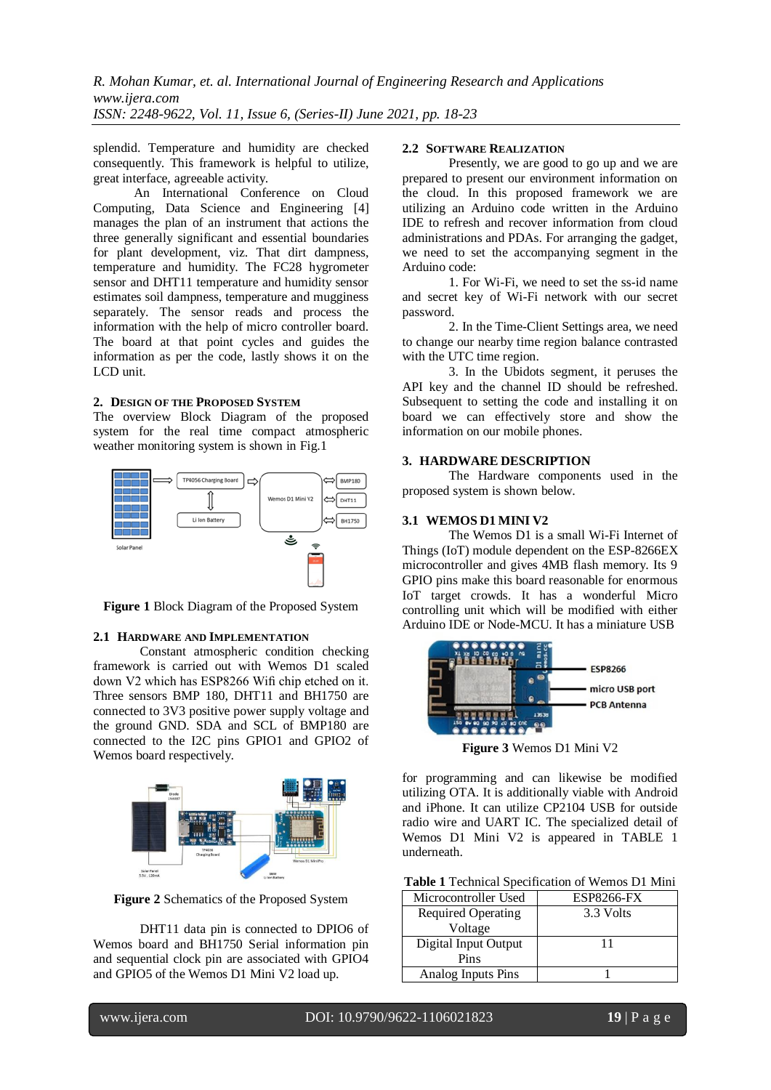splendid. Temperature and humidity are checked consequently. This framework is helpful to utilize, great interface, agreeable activity.

An International Conference on Cloud Computing, Data Science and Engineering [4] manages the plan of an instrument that actions the three generally significant and essential boundaries for plant development, viz. That dirt dampness, temperature and humidity. The FC28 hygrometer sensor and DHT11 temperature and humidity sensor estimates soil dampness, temperature and mugginess separately. The sensor reads and process the information with the help of micro controller board. The board at that point cycles and guides the information as per the code, lastly shows it on the LCD unit.

#### **2. DESIGN OF THE PROPOSED SYSTEM**

The overview Block Diagram of the proposed system for the real time compact atmospheric weather monitoring system is shown in Fig.1



**Figure 1** Block Diagram of the Proposed System

## **2.1 HARDWARE AND IMPLEMENTATION**

Constant atmospheric condition checking framework is carried out with Wemos D1 scaled down V2 which has ESP8266 Wifi chip etched on it. Three sensors BMP 180, DHT11 and BH1750 are connected to 3V3 positive power supply voltage and the ground GND. SDA and SCL of BMP180 are connected to the I2C pins GPIO1 and GPIO2 of Wemos board respectively.



**Figure 2** Schematics of the Proposed System

DHT11 data pin is connected to DPIO6 of Wemos board and BH1750 Serial information pin and sequential clock pin are associated with GPIO4 and GPIO5 of the Wemos D1 Mini V2 load up.

### **2.2 SOFTWARE REALIZATION**

Presently, we are good to go up and we are prepared to present our environment information on the cloud. In this proposed framework we are utilizing an Arduino code written in the Arduino IDE to refresh and recover information from cloud administrations and PDAs. For arranging the gadget, we need to set the accompanying segment in the Arduino code:

1. For Wi-Fi, we need to set the ss-id name and secret key of Wi-Fi network with our secret password.

2. In the Time-Client Settings area, we need to change our nearby time region balance contrasted with the UTC time region.

3. In the Ubidots segment, it peruses the API key and the channel ID should be refreshed. Subsequent to setting the code and installing it on board we can effectively store and show the information on our mobile phones.

#### **3. HARDWARE DESCRIPTION**

The Hardware components used in the proposed system is shown below.

# **3.1 WEMOS D1 MINI V2**

The Wemos D1 is a small Wi-Fi Internet of Things (IoT) module dependent on the ESP-8266EX microcontroller and gives 4MB flash memory. Its 9 GPIO pins make this board reasonable for enormous IoT target crowds. It has a wonderful Micro controlling unit which will be modified with either Arduino IDE or Node-MCU. It has a miniature USB



**Figure 3** Wemos D1 Mini V2

for programming and can likewise be modified utilizing OTA. It is additionally viable with Android and iPhone. It can utilize CP2104 USB for outside radio wire and UART IC. The specialized detail of Wemos D1 Mini V2 is appeared in TABLE 1 underneath.

| Table 1 Technical Specification of Wemos D1 Mini |  |  |  |
|--------------------------------------------------|--|--|--|
|--------------------------------------------------|--|--|--|

| Microcontroller Used      | <b>ESP8266-FX</b> |  |  |
|---------------------------|-------------------|--|--|
| <b>Required Operating</b> | 3.3 Volts         |  |  |
| Voltage                   |                   |  |  |
| Digital Input Output      | 11                |  |  |
| Pins                      |                   |  |  |
| Analog Inputs Pins        |                   |  |  |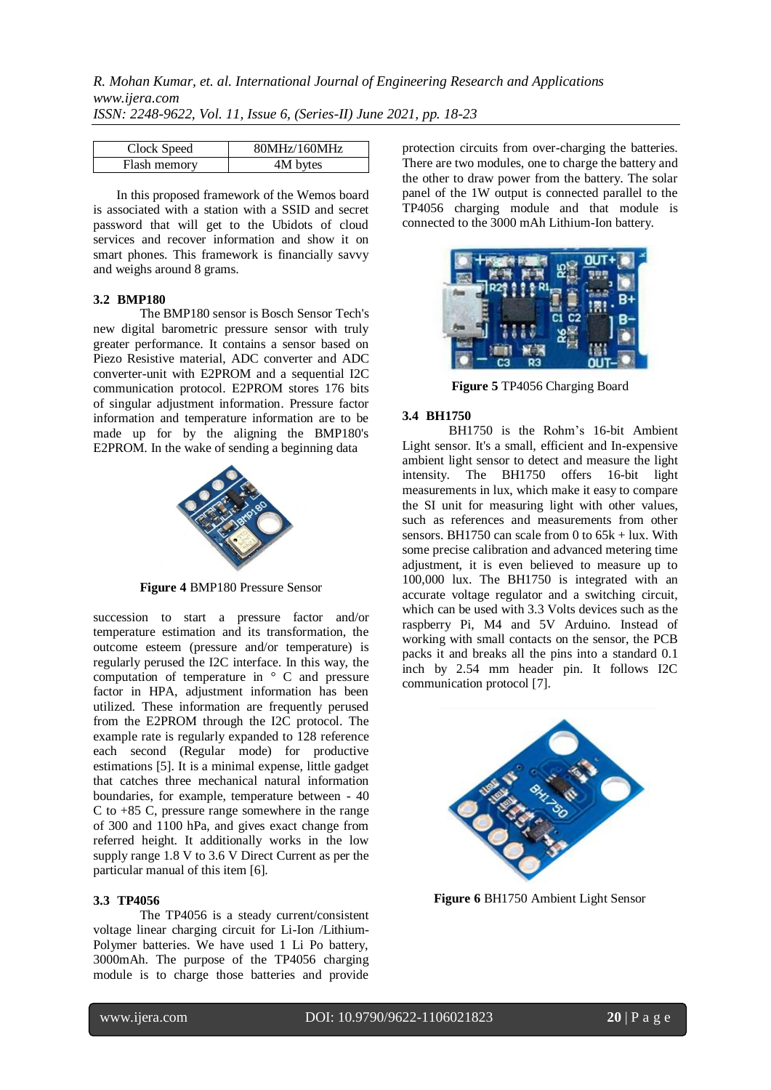| Clock Speed  | 80MHz/160MHz |
|--------------|--------------|
| Flash memory | 4M bytes     |

In this proposed framework of the Wemos board is associated with a station with a SSID and secret password that will get to the Ubidots of cloud services and recover information and show it on smart phones. This framework is financially savvy and weighs around 8 grams.

### **3.2 BMP180**

The BMP180 sensor is Bosch Sensor Tech's new digital barometric pressure sensor with truly greater performance. It contains a sensor based on Piezo Resistive material, ADC converter and ADC converter-unit with E2PROM and a sequential I2C communication protocol. E2PROM stores 176 bits of singular adjustment information. Pressure factor information and temperature information are to be made up for by the aligning the BMP180's E2PROM. In the wake of sending a beginning data



**Figure 4** BMP180 Pressure Sensor

succession to start a pressure factor and/or temperature estimation and its transformation, the outcome esteem (pressure and/or temperature) is regularly perused the I2C interface. In this way, the computation of temperature in ° C and pressure factor in HPA, adjustment information has been utilized. These information are frequently perused from the E2PROM through the I2C protocol. The example rate is regularly expanded to 128 reference each second (Regular mode) for productive estimations [5]. It is a minimal expense, little gadget that catches three mechanical natural information boundaries, for example, temperature between - 40 C to +85 C, pressure range somewhere in the range of 300 and 1100 hPa, and gives exact change from referred height. It additionally works in the low supply range 1.8 V to 3.6 V Direct Current as per the particular manual of this item [6].

#### **3.3 TP4056**

The TP4056 is a steady current/consistent voltage linear charging circuit for Li-Ion /Lithium-Polymer batteries. We have used 1 Li Po battery, 3000mAh. The purpose of the TP4056 charging module is to charge those batteries and provide

protection circuits from over-charging the batteries. There are two modules, one to charge the battery and the other to draw power from the battery. The solar panel of the 1W output is connected parallel to the TP4056 charging module and that module is connected to the 3000 mAh Lithium-Ion battery.



**Figure 5** TP4056 Charging Board

### **3.4 BH1750**

BH1750 is the Rohm's 16-bit Ambient Light sensor. It's a small, efficient and In-expensive ambient light sensor to detect and measure the light intensity. The BH1750 offers 16-bit light measurements in lux, which make it easy to compare the SI unit for measuring light with other values, such as references and measurements from other sensors. BH1750 can scale from 0 to  $65k + \text{lux}$ . With some precise calibration and advanced metering time adjustment, it is even believed to measure up to 100,000 lux. The BH1750 is integrated with an accurate voltage regulator and a switching circuit, which can be used with 3.3 Volts devices such as the raspberry Pi, M4 and 5V Arduino. Instead of working with small contacts on the sensor, the PCB packs it and breaks all the pins into a standard 0.1 inch by 2.54 mm header pin. It follows I2C communication protocol [7].



**Figure 6** BH1750 Ambient Light Sensor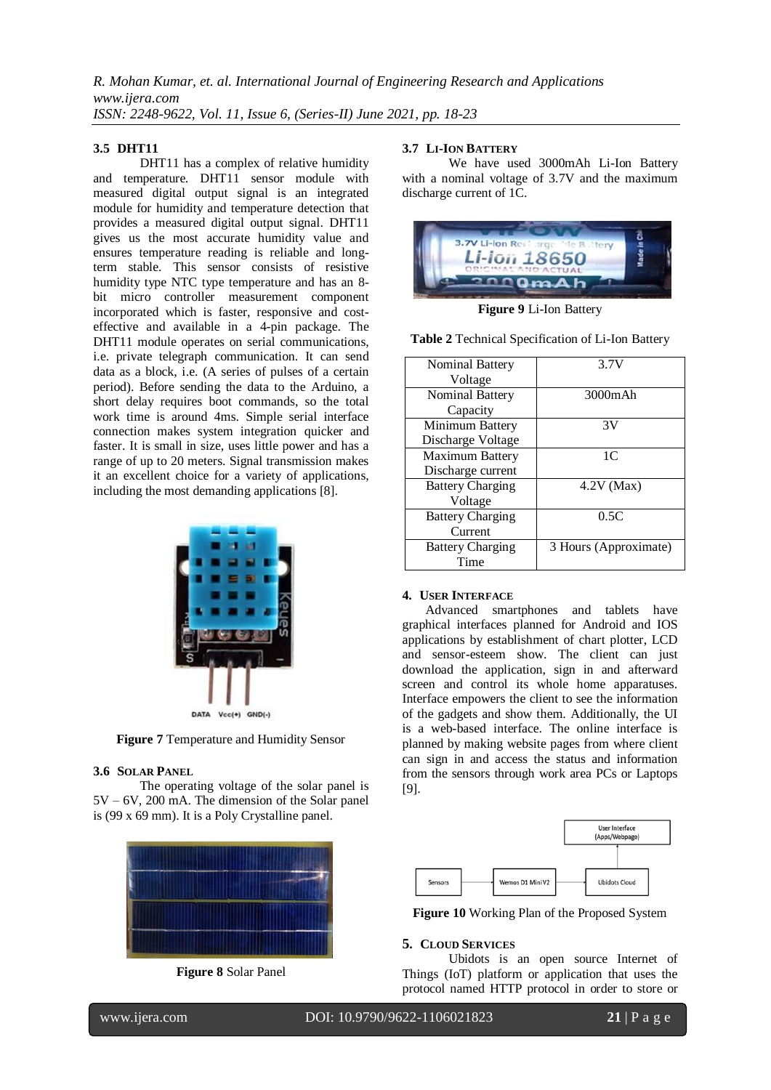#### **3.5 DHT11**

 DHT11 has a complex of relative humidity and temperature. DHT11 sensor module with measured digital output signal is an integrated module for humidity and temperature detection that provides a measured digital output signal. DHT11 gives us the most accurate humidity value and ensures temperature reading is reliable and longterm stable. This sensor consists of resistive humidity type NTC type temperature and has an 8 bit micro controller measurement component incorporated which is faster, responsive and costeffective and available in a 4-pin package. The DHT11 module operates on serial communications, i.e. private telegraph communication. It can send data as a block, i.e. (A series of pulses of a certain period). Before sending the data to the Arduino, a short delay requires boot commands, so the total work time is around 4ms. Simple serial interface connection makes system integration quicker and faster. It is small in size, uses little power and has a range of up to 20 meters. Signal transmission makes it an excellent choice for a variety of applications, including the most demanding applications [8].



**Figure 7** Temperature and Humidity Sensor

### **3.6 SOLAR PANEL**

The operating voltage of the solar panel is 5V – 6V, 200 mA. The dimension of the Solar panel is (99 x 69 mm). It is a Poly Crystalline panel.



**Figure 8** Solar Panel

### **3.7 LI-ION BATTERY**

We have used 3000mAh Li-Ion Battery with a nominal voltage of 3.7V and the maximum discharge current of 1C.



**Figure 9** Li-Ion Battery

| Nominal Battery         | 3.7V                  |
|-------------------------|-----------------------|
| Voltage                 |                       |
| Nominal Battery         | 3000mAh               |
| Capacity                |                       |
| Minimum Battery         | 3V                    |
| Discharge Voltage       |                       |
| <b>Maximum Battery</b>  | 1C                    |
| Discharge current       |                       |
| <b>Battery Charging</b> | $4.2V$ (Max)          |
| Voltage                 |                       |
| <b>Battery Charging</b> | 0.5C                  |
| Current                 |                       |
| <b>Battery Charging</b> | 3 Hours (Approximate) |
| Time                    |                       |

#### **Table 2** Technical Specification of Li-Ion Battery

#### **4. USER INTERFACE**

Advanced smartphones and tablets have graphical interfaces planned for Android and IOS applications by establishment of chart plotter, LCD and sensor-esteem show. The client can just download the application, sign in and afterward screen and control its whole home apparatuses. Interface empowers the client to see the information of the gadgets and show them. Additionally, the UI is a web-based interface. The online interface is planned by making website pages from where client can sign in and access the status and information from the sensors through work area PCs or Laptops [9].



**Figure 10** Working Plan of the Proposed System

#### **5. CLOUD SERVICES**

Ubidots is an open source Internet of Things (IoT) platform or application that uses the protocol named HTTP protocol in order to store or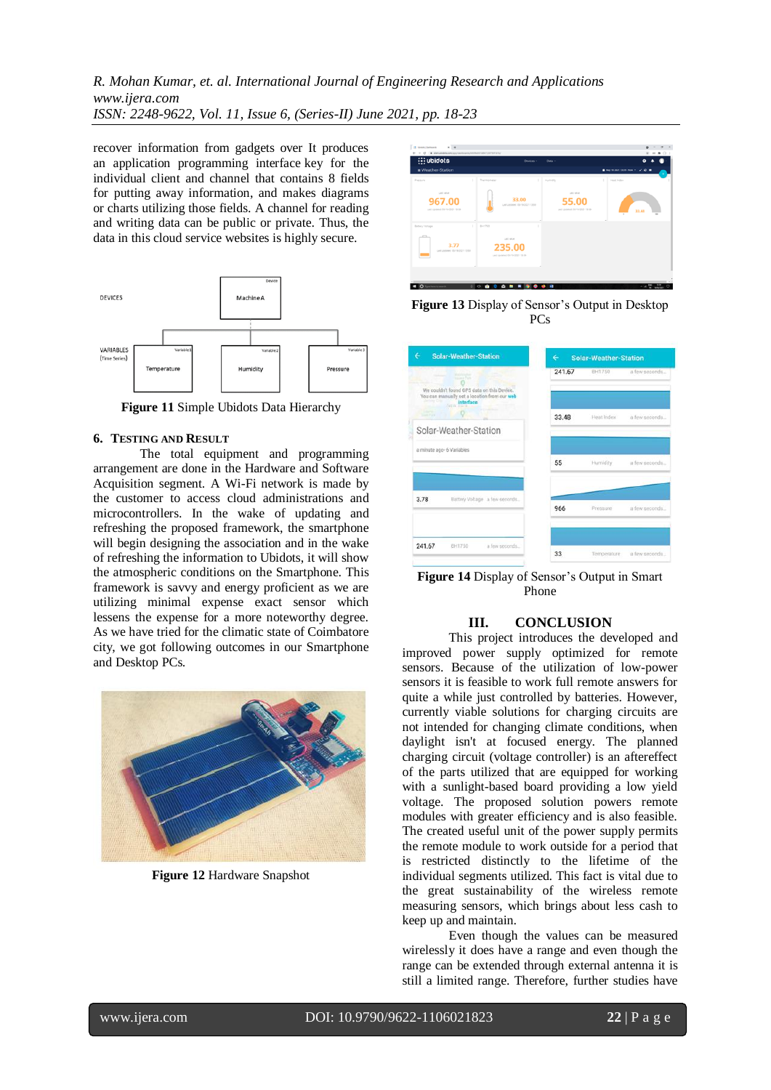recover information from gadgets over It produces an application programming interface key for the individual client and channel that contains 8 fields for putting away information, and makes diagrams or charts utilizing those fields. A channel for reading and writing data can be public or private. Thus, the data in this cloud service websites is highly secure.



**Figure 11** Simple Ubidots Data Hierarchy

#### **6. TESTING AND RESULT**

The total equipment and programming arrangement are done in the Hardware and Software Acquisition segment. A Wi-Fi network is made by the customer to access cloud administrations and microcontrollers. In the wake of updating and refreshing the proposed framework, the smartphone will begin designing the association and in the wake of refreshing the information to Ubidots, it will show the atmospheric conditions on the Smartphone. This framework is savvy and energy proficient as we are utilizing minimal expense exact sensor which lessens the expense for a more noteworthy degree. As we have tried for the climatic state of Coimbatore city, we got following outcomes in our Smartphone and Desktop PCs.



**Figure 12** Hardware Snapshot





| <b>Solar-Weather-Station</b><br>÷                                                                                                                                 | €<br><b>Solar-Weather-Station</b> |             |                |
|-------------------------------------------------------------------------------------------------------------------------------------------------------------------|-----------------------------------|-------------|----------------|
| <b>Property</b><br><b>School School</b><br>We couldn't found GPS data on this Device.<br>You can manually set a location from our web<br>Jamie Cris<br>interface. | 241.67                            | BH1750      | a few seconds  |
| <b>State Park</b><br>Solar-Weather-Station                                                                                                                        | 33.48                             | Heat Index  | a few seconds  |
| a minute ago- 6 Variables                                                                                                                                         | 55                                | Hurnidity   | a few seconds  |
| 3.78<br>Battery Voltage a few seconds                                                                                                                             | 966                               | Pressure    | a few seconds. |
| 241.67<br><b>RH1750</b><br>a few seconds                                                                                                                          | 33                                | Temperature | a few seconds. |

**Figure 14** Display of Sensor's Output in Smart Phone

# **III. CONCLUSION**

This project introduces the developed and improved power supply optimized for remote sensors. Because of the utilization of low-power sensors it is feasible to work full remote answers for quite a while just controlled by batteries. However, currently viable solutions for charging circuits are not intended for changing climate conditions, when daylight isn't at focused energy. The planned charging circuit (voltage controller) is an aftereffect of the parts utilized that are equipped for working with a sunlight-based board providing a low yield voltage. The proposed solution powers remote modules with greater efficiency and is also feasible. The created useful unit of the power supply permits the remote module to work outside for a period that is restricted distinctly to the lifetime of the individual segments utilized. This fact is vital due to the great sustainability of the wireless remote measuring sensors, which brings about less cash to keep up and maintain.

 Even though the values can be measured wirelessly it does have a range and even though the range can be extended through external antenna it is still a limited range. Therefore, further studies have